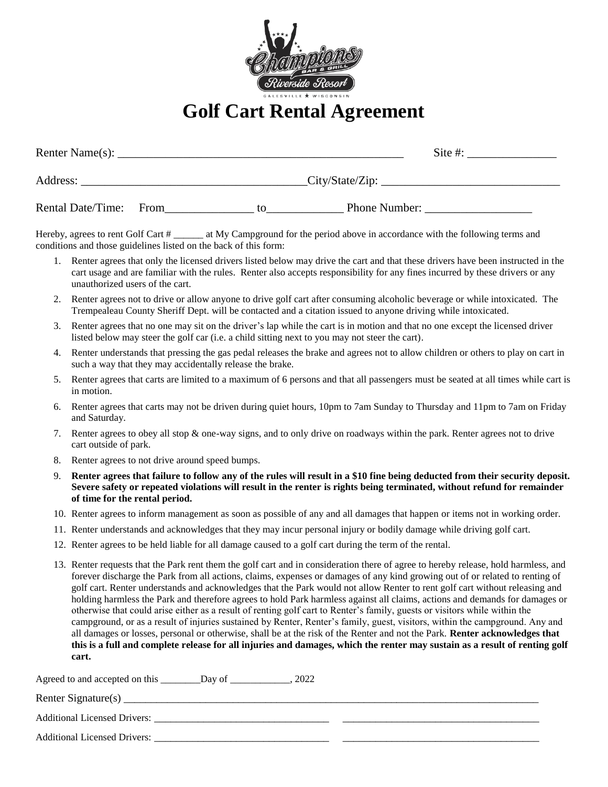

## **Golf Cart Rental Agreement**

| Renter Name $(s)$ : |      |    |                 | Site #: |
|---------------------|------|----|-----------------|---------|
| Address:            |      |    | City/State/Zip: |         |
| Rental Date/Time:   | From | tΩ | Phone Number:   |         |

Hereby, agrees to rent Golf Cart # \_\_\_\_\_\_ at My Campground for the period above in accordance with the following terms and conditions and those guidelines listed on the back of this form:

- 1. Renter agrees that only the licensed drivers listed below may drive the cart and that these drivers have been instructed in the cart usage and are familiar with the rules. Renter also accepts responsibility for any fines incurred by these drivers or any unauthorized users of the cart.
- 2. Renter agrees not to drive or allow anyone to drive golf cart after consuming alcoholic beverage or while intoxicated. The Trempealeau County Sheriff Dept. will be contacted and a citation issued to anyone driving while intoxicated.
- 3. Renter agrees that no one may sit on the driver's lap while the cart is in motion and that no one except the licensed driver listed below may steer the golf car (i.e. a child sitting next to you may not steer the cart).
- 4. Renter understands that pressing the gas pedal releases the brake and agrees not to allow children or others to play on cart in such a way that they may accidentally release the brake.
- 5. Renter agrees that carts are limited to a maximum of 6 persons and that all passengers must be seated at all times while cart is in motion.
- 6. Renter agrees that carts may not be driven during quiet hours, 10pm to 7am Sunday to Thursday and 11pm to 7am on Friday and Saturday.
- 7. Renter agrees to obey all stop & one-way signs, and to only drive on roadways within the park. Renter agrees not to drive cart outside of park.
- 8. Renter agrees to not drive around speed bumps.
- 9. **Renter agrees that failure to follow any of the rules will result in a \$10 fine being deducted from their security deposit. Severe safety or repeated violations will result in the renter is rights being terminated, without refund for remainder of time for the rental period.**
- 10. Renter agrees to inform management as soon as possible of any and all damages that happen or items not in working order.
- 11. Renter understands and acknowledges that they may incur personal injury or bodily damage while driving golf cart.
- 12. Renter agrees to be held liable for all damage caused to a golf cart during the term of the rental.
- 13. Renter requests that the Park rent them the golf cart and in consideration there of agree to hereby release, hold harmless, and forever discharge the Park from all actions, claims, expenses or damages of any kind growing out of or related to renting of golf cart. Renter understands and acknowledges that the Park would not allow Renter to rent golf cart without releasing and holding harmless the Park and therefore agrees to hold Park harmless against all claims, actions and demands for damages or otherwise that could arise either as a result of renting golf cart to Renter's family, guests or visitors while within the campground, or as a result of injuries sustained by Renter, Renter's family, guest, visitors, within the campground. Any and all damages or losses, personal or otherwise, shall be at the risk of the Renter and not the Park. **Renter acknowledges that this is a full and complete release for all injuries and damages, which the renter may sustain as a result of renting golf cart.**

| Agreed to and accepted on this<br>2022<br>Day of |  |
|--------------------------------------------------|--|
|                                                  |  |
| <b>Additional Licensed Drivers:</b>              |  |
| <b>Additional Licensed Drivers:</b>              |  |